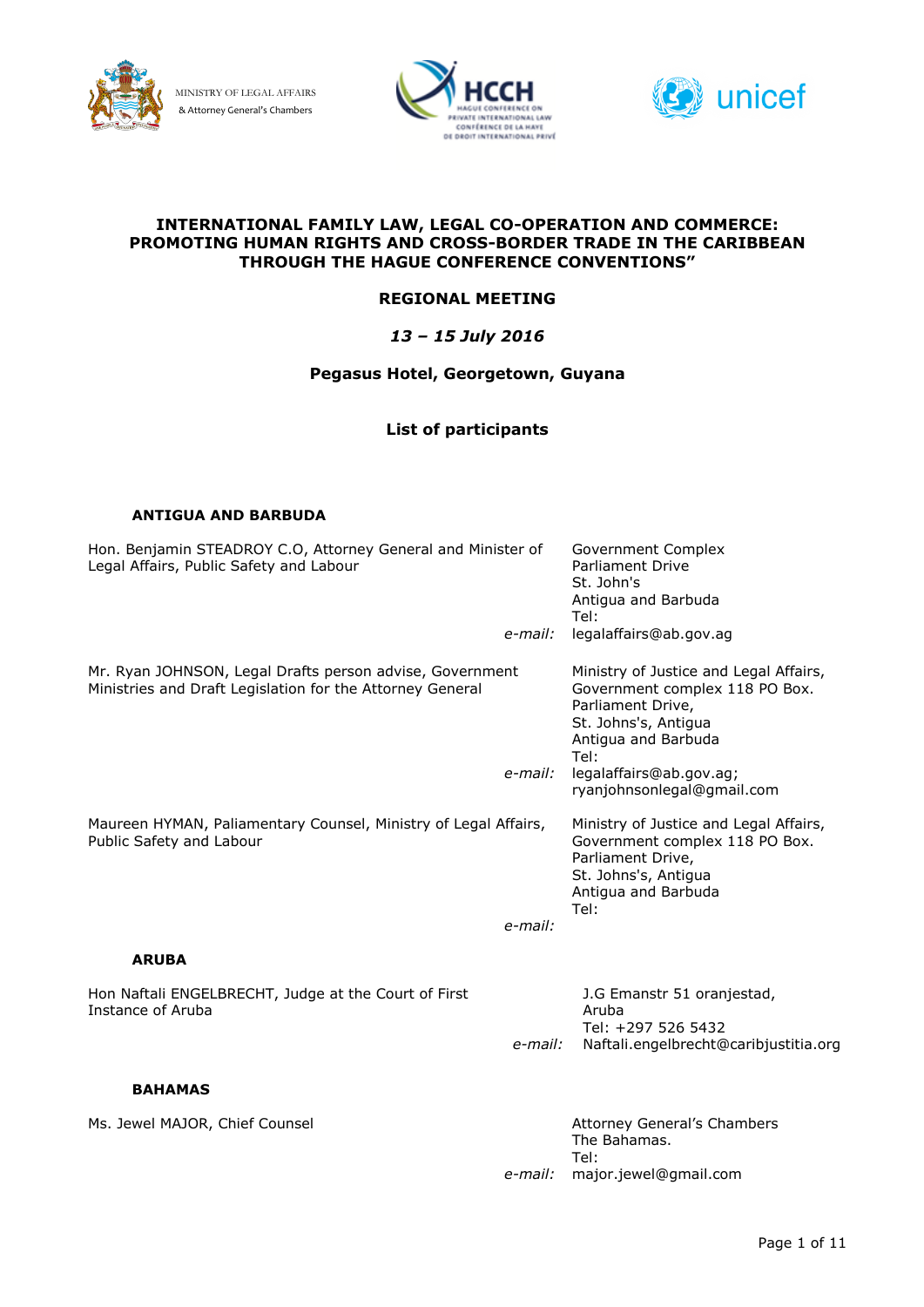

MINISTRY OF LEGAL AFFAIRS & Attorney General's Chambers





#### **INTERNATIONAL FAMILY LAW, LEGAL CO-OPERATION AND COMMERCE: PROMOTING HUMAN RIGHTS AND CROSS-BORDER TRADE IN THE CARIBBEAN THROUGH THE HAGUE CONFERENCE CONVENTIONS"**

### **REGIONAL MEETING**

### *13 – 15 July 2016*

### **Pegasus Hotel, Georgetown, Guyana**

### **List of participants**

#### **ANTIGUA AND BARBUDA**

| Hon. Benjamin STEADROY C.O, Attorney General and Minister of<br>Legal Affairs, Public Safety and Labour               |         | Government Complex<br><b>Parliament Drive</b><br>St. John's<br>Antigua and Barbuda<br>Tel:                                                           |
|-----------------------------------------------------------------------------------------------------------------------|---------|------------------------------------------------------------------------------------------------------------------------------------------------------|
|                                                                                                                       | e-mail: | legalaffairs@ab.gov.ag                                                                                                                               |
| Mr. Ryan JOHNSON, Legal Drafts person advise, Government<br>Ministries and Draft Legislation for the Attorney General |         | Ministry of Justice and Legal Affairs,<br>Government complex 118 PO Box.<br>Parliament Drive,<br>St. Johns's, Antigua<br>Antigua and Barbuda<br>Tel: |
|                                                                                                                       | e-mail: | legalaffairs@ab.gov.ag;<br>ryanjohnsonlegal@gmail.com                                                                                                |
| Maureen HYMAN, Paliamentary Counsel, Ministry of Legal Affairs,<br>Public Safety and Labour                           |         | Ministry of Justice and Legal Affairs,<br>Government complex 118 PO Box.<br>Parliament Drive,<br>St. Johns's, Antigua<br>Antigua and Barbuda<br>Tel: |
|                                                                                                                       | e-mail: |                                                                                                                                                      |
| <b>ARUBA</b>                                                                                                          |         |                                                                                                                                                      |
| Hon Naftali ENGELBRECHT, Judge at the Court of First<br>Instance of Aruba                                             | e-mail: | J.G Emanstr 51 oranjestad,<br>Aruba<br>Tel: +297 526 5432<br>Naftali.engelbrecht@caribjustitia.org                                                   |
| <b>BAHAMAS</b>                                                                                                        |         |                                                                                                                                                      |
|                                                                                                                       |         |                                                                                                                                                      |
| Ms. Jewel MAJOR, Chief Counsel                                                                                        |         | Attorney General's Chambers<br>The Bahamas.<br>Tel:                                                                                                  |
|                                                                                                                       | e-mail: | major.jewel@gmail.com                                                                                                                                |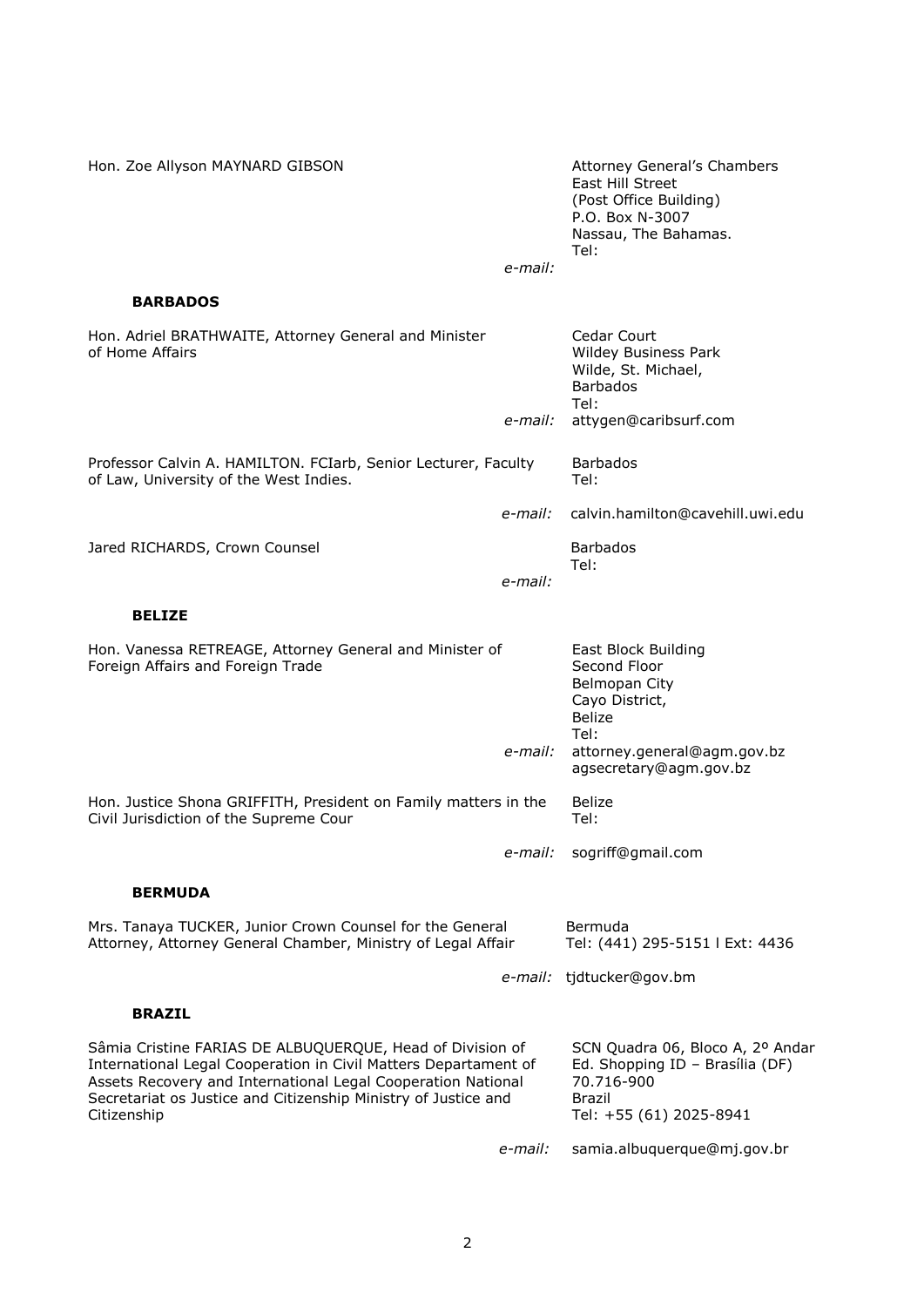| Hon. Zoe Allyson MAYNARD GIBSON                                                                                                                                                                                                                                               |         | <b>Attorney General's Chambers</b><br>East Hill Street<br>(Post Office Building)<br>P.O. Box N-3007<br>Nassau, The Bahamas.<br>Tel: |
|-------------------------------------------------------------------------------------------------------------------------------------------------------------------------------------------------------------------------------------------------------------------------------|---------|-------------------------------------------------------------------------------------------------------------------------------------|
|                                                                                                                                                                                                                                                                               | e-mail: |                                                                                                                                     |
| <b>BARBADOS</b>                                                                                                                                                                                                                                                               |         |                                                                                                                                     |
| Hon. Adriel BRATHWAITE, Attorney General and Minister<br>of Home Affairs                                                                                                                                                                                                      | e-mail: | Cedar Court<br>Wildey Business Park<br>Wilde, St. Michael,<br><b>Barbados</b><br>Tel:<br>attygen@caribsurf.com                      |
| Professor Calvin A. HAMILTON. FCIarb, Senior Lecturer, Faculty<br>of Law, University of the West Indies.                                                                                                                                                                      |         | <b>Barbados</b><br>Tel:                                                                                                             |
|                                                                                                                                                                                                                                                                               | e-mail: | calvin.hamilton@cavehill.uwi.edu                                                                                                    |
| Jared RICHARDS, Crown Counsel                                                                                                                                                                                                                                                 | e-mail: | <b>Barbados</b><br>Tel:                                                                                                             |
| <b>BELIZE</b>                                                                                                                                                                                                                                                                 |         |                                                                                                                                     |
| Hon. Vanessa RETREAGE, Attorney General and Minister of<br>Foreign Affairs and Foreign Trade                                                                                                                                                                                  |         | East Block Building<br>Second Floor<br>Belmopan City<br>Cayo District,<br><b>Belize</b>                                             |
|                                                                                                                                                                                                                                                                               | e-mail: | Tel:<br>attorney.general@agm.gov.bz<br>agsecretary@agm.gov.bz                                                                       |
| Hon. Justice Shona GRIFFITH, President on Family matters in the<br>Civil Jurisdiction of the Supreme Cour                                                                                                                                                                     |         | <b>Belize</b><br>Tel:                                                                                                               |
|                                                                                                                                                                                                                                                                               |         | e-mail: sogriff@gmail.com                                                                                                           |
| <b>BERMUDA</b>                                                                                                                                                                                                                                                                |         |                                                                                                                                     |
| Mrs. Tanaya TUCKER, Junior Crown Counsel for the General<br>Attorney, Attorney General Chamber, Ministry of Legal Affair                                                                                                                                                      |         | Bermuda<br>Tel: (441) 295-5151   Ext: 4436                                                                                          |
|                                                                                                                                                                                                                                                                               |         | e-mail: tjdtucker@gov.bm                                                                                                            |
| <b>BRAZIL</b>                                                                                                                                                                                                                                                                 |         |                                                                                                                                     |
| Sâmia Cristine FARIAS DE ALBUQUERQUE, Head of Division of<br>International Legal Cooperation in Civil Matters Departament of<br>Assets Recovery and International Legal Cooperation National<br>Secretariat os Justice and Citizenship Ministry of Justice and<br>Citizenship |         | SCN Quadra 06, Bloco A, 2º Andar<br>Ed. Shopping ID - Brasília (DF)<br>70.716-900<br>Brazil<br>Tel: +55 (61) 2025-8941              |
|                                                                                                                                                                                                                                                                               | e-mail: | samia.albuquerque@mj.gov.br                                                                                                         |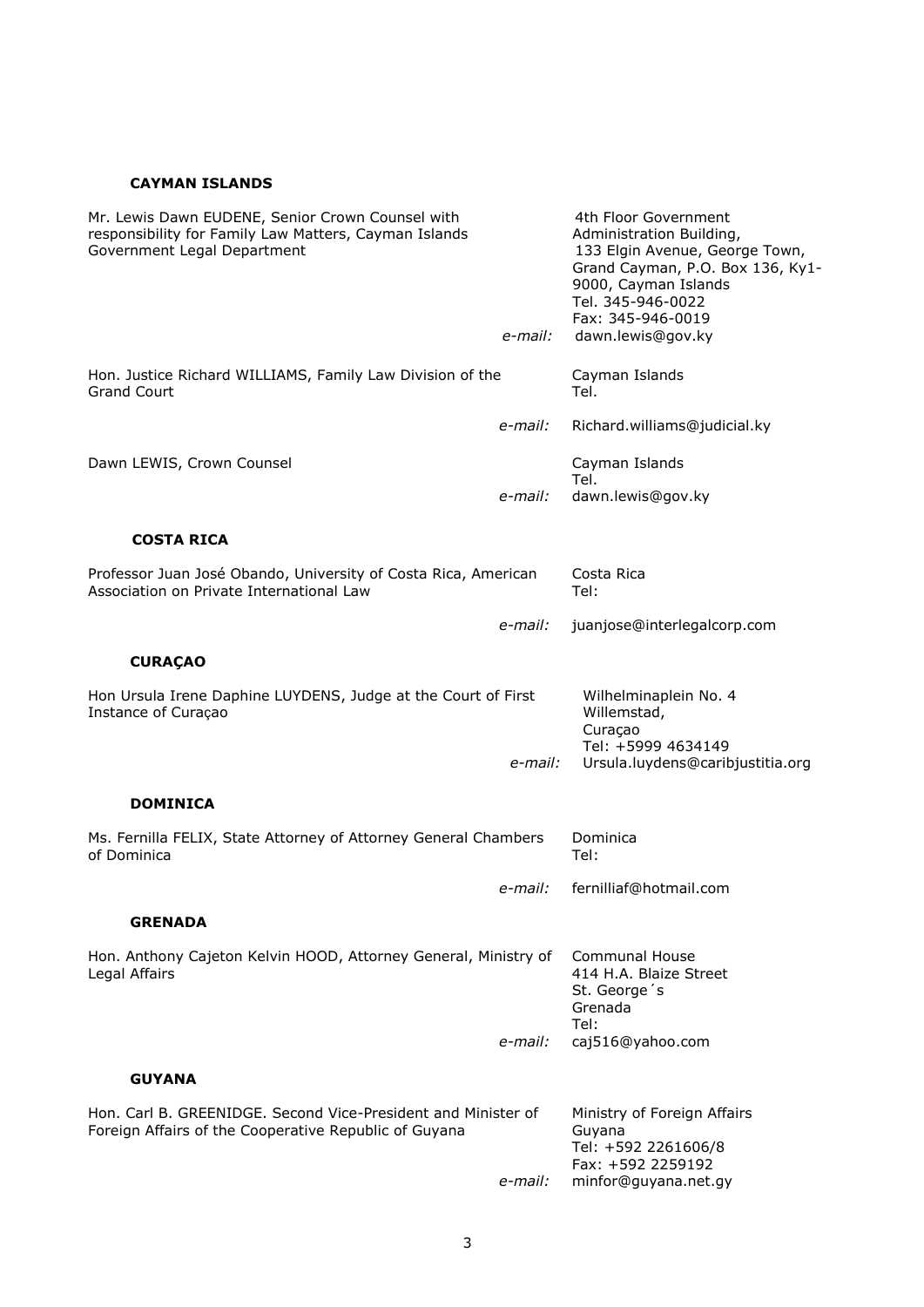## **CAYMAN ISLANDS**

| Mr. Lewis Dawn EUDENE, Senior Crown Counsel with<br>responsibility for Family Law Matters, Cayman Islands<br>Government Legal Department |         | 4th Floor Government<br>Administration Building,<br>133 Elgin Avenue, George Town,<br>Grand Cayman, P.O. Box 136, Ky1-<br>9000, Cayman Islands<br>Tel. 345-946-0022 |
|------------------------------------------------------------------------------------------------------------------------------------------|---------|---------------------------------------------------------------------------------------------------------------------------------------------------------------------|
|                                                                                                                                          | e-mail: | Fax: 345-946-0019<br>dawn.lewis@gov.ky                                                                                                                              |
| Hon. Justice Richard WILLIAMS, Family Law Division of the<br><b>Grand Court</b>                                                          |         | Cayman Islands<br>Tel.                                                                                                                                              |
|                                                                                                                                          | e-mail: | Richard.williams@judicial.ky                                                                                                                                        |
| Dawn LEWIS, Crown Counsel                                                                                                                |         | Cayman Islands<br>Tel.                                                                                                                                              |
|                                                                                                                                          | e-mail: | dawn.lewis@gov.ky                                                                                                                                                   |
| <b>COSTA RICA</b>                                                                                                                        |         |                                                                                                                                                                     |
| Professor Juan José Obando, University of Costa Rica, American<br>Association on Private International Law                               |         | Costa Rica<br>Tel:                                                                                                                                                  |
|                                                                                                                                          | e-mail: | juanjose@interlegalcorp.com                                                                                                                                         |
| <b>CURAÇAO</b>                                                                                                                           |         |                                                                                                                                                                     |
| Hon Ursula Irene Daphine LUYDENS, Judge at the Court of First<br>Instance of Curaçao                                                     |         | Wilhelminaplein No. 4<br>Willemstad,<br>Curaçao<br>Tel: +5999 4634149                                                                                               |
|                                                                                                                                          | e-mail: | Ursula.luydens@caribjustitia.org                                                                                                                                    |
| <b>DOMINICA</b>                                                                                                                          |         |                                                                                                                                                                     |
| Ms. Fernilla FELIX, State Attorney of Attorney General Chambers<br>of Dominica                                                           |         | Dominica<br>Tel:                                                                                                                                                    |
|                                                                                                                                          | e-mail: | fernilliaf@hotmail.com                                                                                                                                              |
| <b>GRENADA</b>                                                                                                                           |         |                                                                                                                                                                     |
| Hon. Anthony Cajeton Kelvin HOOD, Attorney General, Ministry of<br>Legal Affairs                                                         |         | <b>Communal House</b><br>414 H.A. Blaize Street<br>St. George's<br>Grenada<br>Tel:                                                                                  |
|                                                                                                                                          | e-mail: | caj516@yahoo.com                                                                                                                                                    |
| <b>GUYANA</b>                                                                                                                            |         |                                                                                                                                                                     |
| Hon, Carl B. GREENIDGE, Second Vice-President and Minister of<br>Foreign Affairs of the Cooperative Republic of Guyana                   |         | Ministry of Foreign Affairs<br>Guyana<br>Tel: +592 2261606/8                                                                                                        |
|                                                                                                                                          | e-mail: | Fax: +592 2259192<br>minfor@guyana.net.gy                                                                                                                           |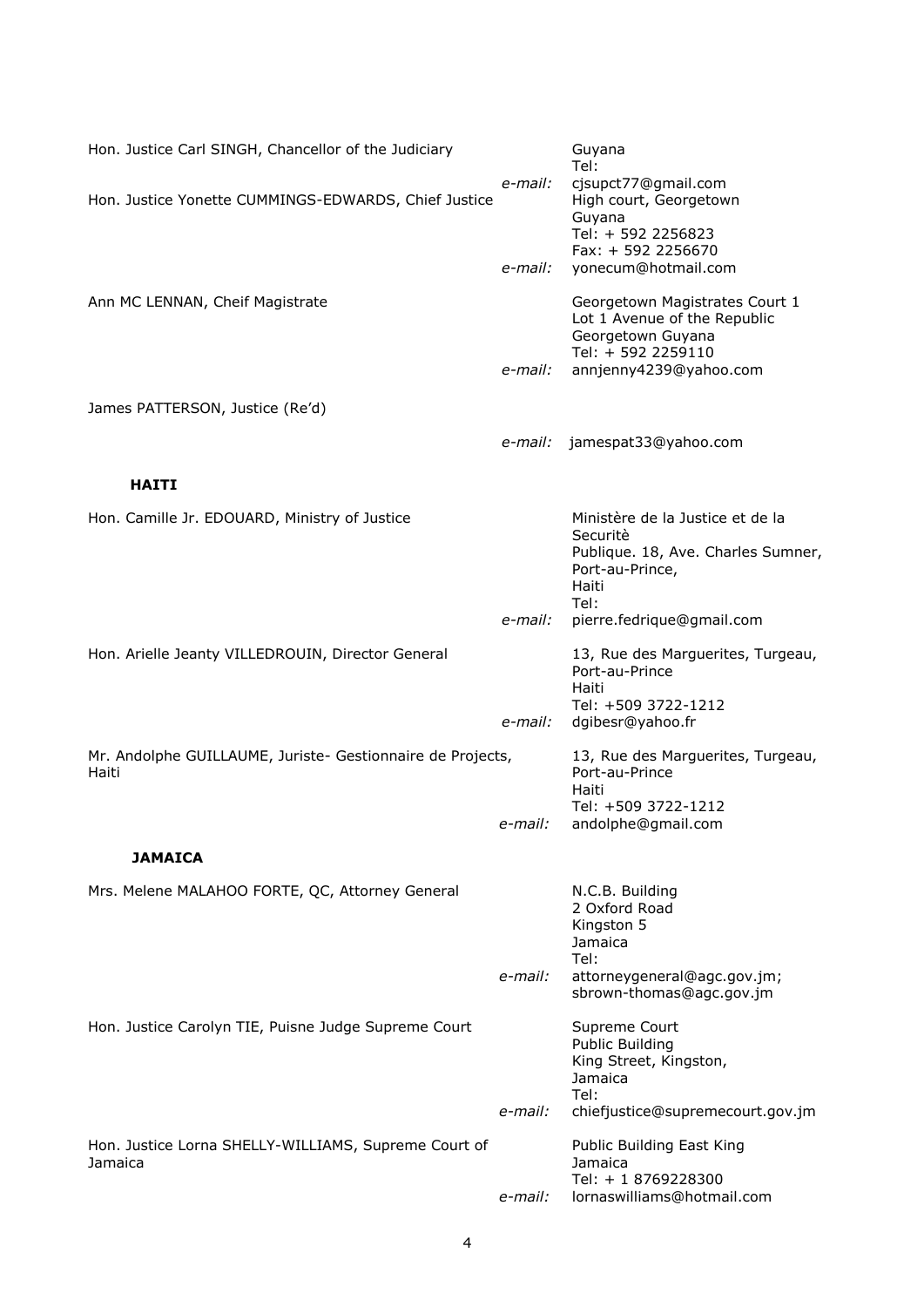| Hon. Justice Carl SINGH, Chancellor of the Judiciary                |         | Guyana<br>Tel:                                                                                                                      |
|---------------------------------------------------------------------|---------|-------------------------------------------------------------------------------------------------------------------------------------|
| Hon. Justice Yonette CUMMINGS-EDWARDS, Chief Justice                | e-mail: | cjsupct77@gmail.com<br>High court, Georgetown<br>Guyana<br>Tel: + 592 2256823<br>Fax: + 592 2256670                                 |
|                                                                     | e-mail: | yonecum@hotmail.com                                                                                                                 |
| Ann MC LENNAN, Cheif Magistrate                                     | e-mail: | Georgetown Magistrates Court 1<br>Lot 1 Avenue of the Republic<br>Georgetown Guyana<br>Tel: + 592 2259110<br>annjenny4239@yahoo.com |
| James PATTERSON, Justice (Re'd)                                     |         |                                                                                                                                     |
|                                                                     | e-mail: | jamespat33@yahoo.com                                                                                                                |
| <b>HAITI</b>                                                        |         |                                                                                                                                     |
| Hon. Camille Jr. EDOUARD, Ministry of Justice                       |         | Ministère de la Justice et de la<br>Securitè<br>Publique. 18, Ave. Charles Sumner,<br>Port-au-Prince,<br>Haiti<br>Tel:              |
|                                                                     | e-mail: | pierre.fedrique@gmail.com                                                                                                           |
| Hon. Arielle Jeanty VILLEDROUIN, Director General                   | e-mail: | 13, Rue des Marguerites, Turgeau,<br>Port-au-Prince<br>Haiti<br>Tel: +509 3722-1212<br>dgibesr@yahoo.fr                             |
|                                                                     |         |                                                                                                                                     |
| Mr. Andolphe GUILLAUME, Juriste- Gestionnaire de Projects,<br>Haiti |         | 13, Rue des Marguerites, Turgeau,<br>Port-au-Prince<br>Haiti<br>Tel: +509 3722-1212                                                 |
|                                                                     | e-mail: | andolphe@gmail.com                                                                                                                  |
| <b>JAMAICA</b>                                                      |         |                                                                                                                                     |
| Mrs. Melene MALAHOO FORTE, QC, Attorney General                     |         | N.C.B. Building<br>2 Oxford Road<br>Kingston 5<br>Jamaica<br>Tel:                                                                   |
|                                                                     | e-mail: | attorneygeneral@agc.gov.jm;<br>sbrown-thomas@agc.gov.jm                                                                             |
| Hon. Justice Carolyn TIE, Puisne Judge Supreme Court                |         | Supreme Court<br><b>Public Building</b><br>King Street, Kingston,<br>Jamaica<br>Tel:                                                |
|                                                                     | e-mail: | chiefjustice@supremecourt.gov.jm                                                                                                    |
| Hon. Justice Lorna SHELLY-WILLIAMS, Supreme Court of<br>Jamaica     |         | Public Building East King<br>Jamaica<br>Tel: + 1 8769228300                                                                         |
|                                                                     | e-mail: | lornaswilliams@hotmail.com                                                                                                          |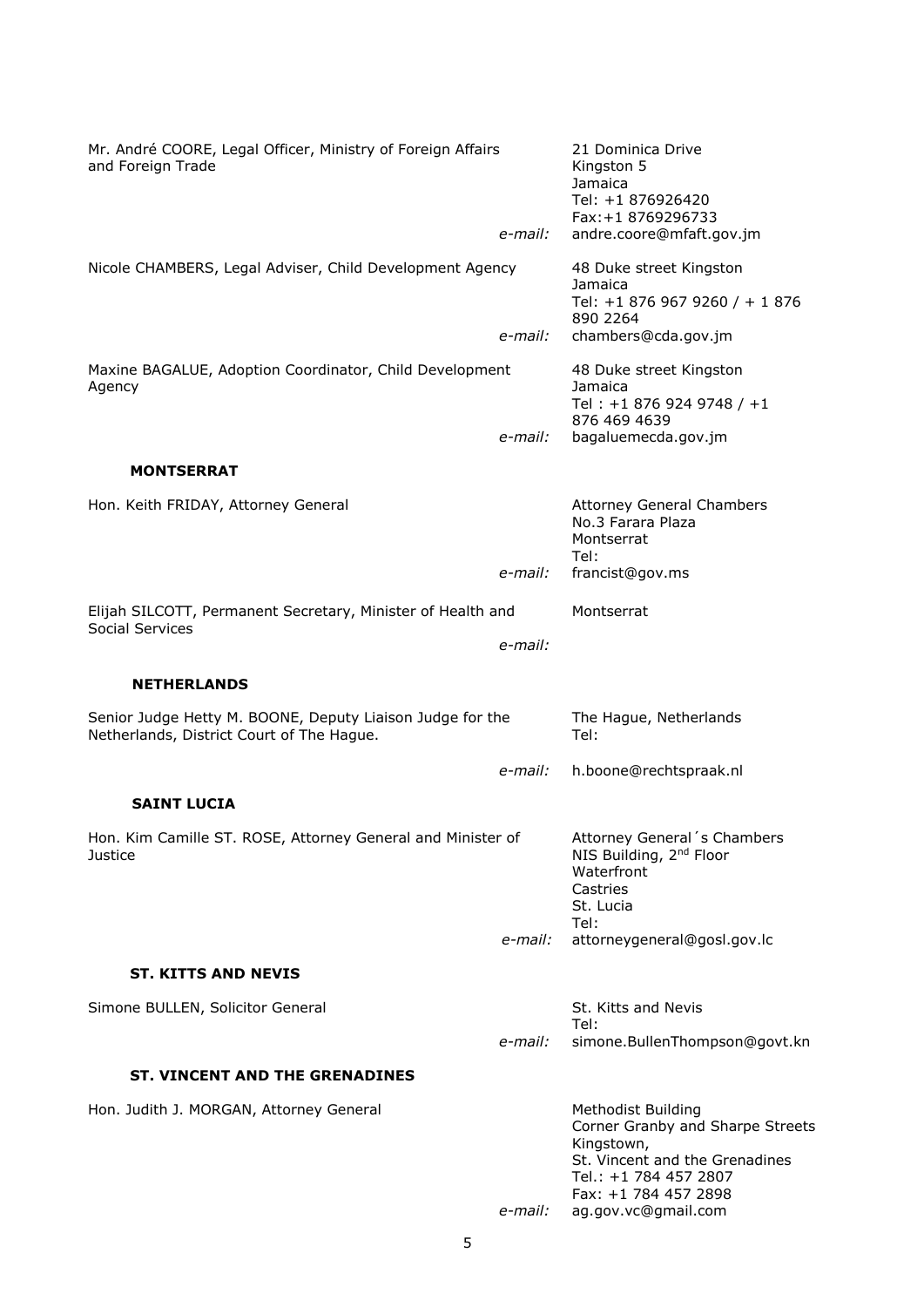| Mr. André COORE, Legal Officer, Ministry of Foreign Affairs<br>and Foreign Trade                       | e-mail: | 21 Dominica Drive<br>Kingston 5<br>Jamaica<br>Tel: +1 876926420<br>Fax: +1 8769296733<br>andre.coore@mfaft.gov.jm                                              |
|--------------------------------------------------------------------------------------------------------|---------|----------------------------------------------------------------------------------------------------------------------------------------------------------------|
| Nicole CHAMBERS, Legal Adviser, Child Development Agency                                               |         | 48 Duke street Kingston<br>Jamaica<br>Tel: +1 876 967 9260 / + 1 876<br>890 2264                                                                               |
| Maxine BAGALUE, Adoption Coordinator, Child Development<br>Agency                                      | e-mail: | chambers@cda.gov.jm<br>48 Duke street Kingston<br>Jamaica<br>Tel: +1 876 924 9748 / +1<br>876 469 4639                                                         |
|                                                                                                        | e-mail: | bagaluemecda.gov.jm                                                                                                                                            |
| <b>MONTSERRAT</b>                                                                                      |         |                                                                                                                                                                |
| Hon. Keith FRIDAY, Attorney General                                                                    |         | <b>Attorney General Chambers</b><br>No.3 Farara Plaza<br>Montserrat<br>Tel:                                                                                    |
|                                                                                                        | e-mail: | francist@gov.ms                                                                                                                                                |
| Elijah SILCOTT, Permanent Secretary, Minister of Health and                                            |         | Montserrat                                                                                                                                                     |
| Social Services                                                                                        | e-mail: |                                                                                                                                                                |
| <b>NETHERLANDS</b>                                                                                     |         |                                                                                                                                                                |
| Senior Judge Hetty M. BOONE, Deputy Liaison Judge for the<br>Netherlands, District Court of The Hague. |         | The Hague, Netherlands<br>Tel:                                                                                                                                 |
|                                                                                                        | e-mail: | h.boone@rechtspraak.nl                                                                                                                                         |
| <b>SAINT LUCIA</b>                                                                                     |         |                                                                                                                                                                |
| Hon. Kim Camille ST. ROSE, Attorney General and Minister of<br>Justice                                 |         | Attorney General's Chambers<br>NIS Building, 2 <sup>nd</sup> Floor<br>Waterfront<br>Castries<br>St. Lucia<br>Tel:                                              |
|                                                                                                        | e-mail: | attorneygeneral@gosl.gov.lc                                                                                                                                    |
| <b>ST. KITTS AND NEVIS</b>                                                                             |         |                                                                                                                                                                |
| Simone BULLEN, Solicitor General                                                                       |         | St. Kitts and Nevis                                                                                                                                            |
|                                                                                                        | e-mail: | Tel:<br>simone.BullenThompson@govt.kn                                                                                                                          |
| <b>ST. VINCENT AND THE GRENADINES</b>                                                                  |         |                                                                                                                                                                |
| Hon. Judith J. MORGAN, Attorney General                                                                |         | <b>Methodist Building</b><br>Corner Granby and Sharpe Streets<br>Kingstown,<br>St. Vincent and the Grenadines<br>Tel.: +1 784 457 2807<br>Fax: +1 784 457 2898 |
|                                                                                                        | e-mail: | ag.gov.vc@gmail.com                                                                                                                                            |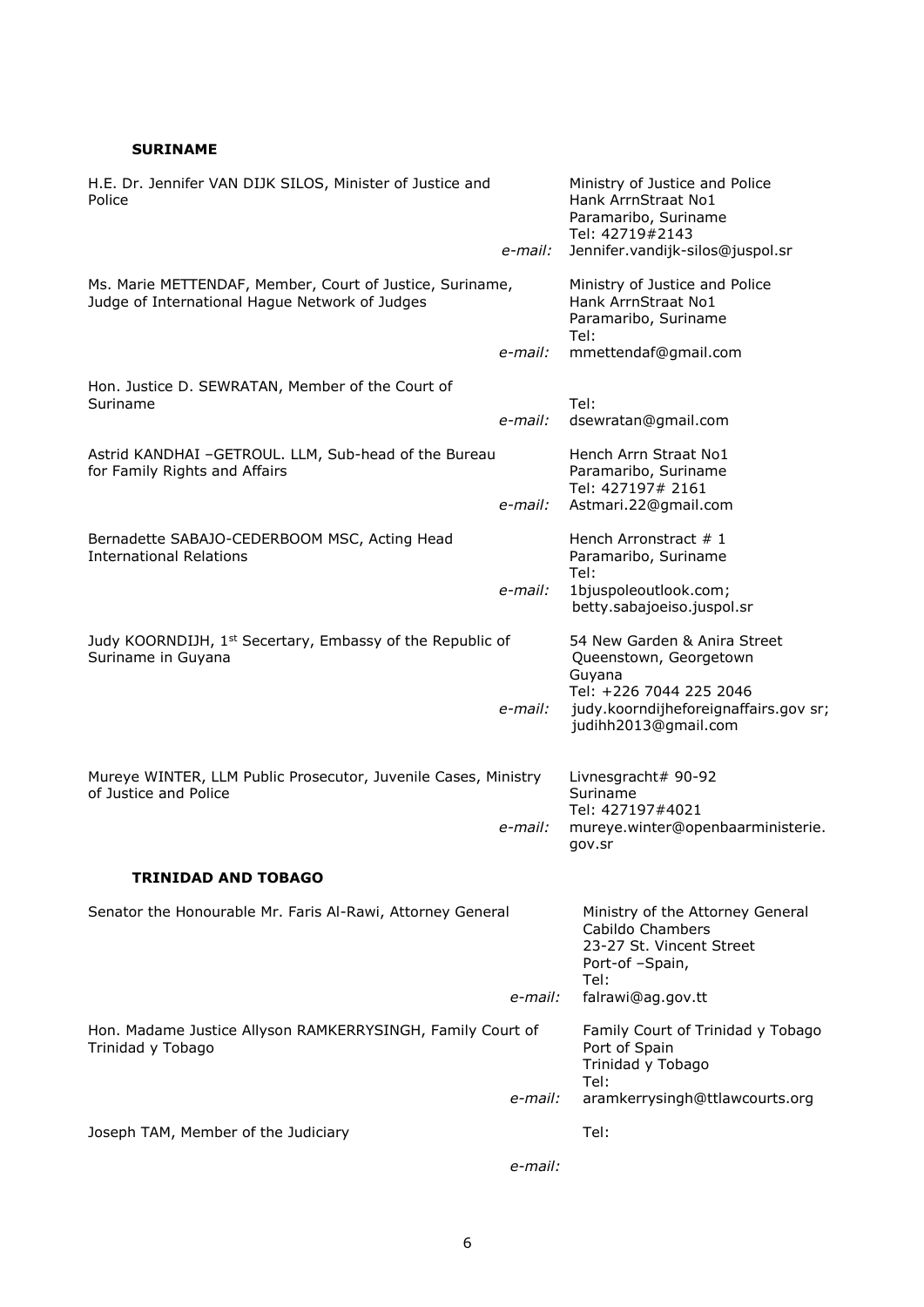### **SURINAME**

| H.E. Dr. Jennifer VAN DIJK SILOS, Minister of Justice and<br>Police                                        |         | Ministry of Justice and Police<br>Hank ArrnStraat No1<br>Paramaribo, Suriname<br>Tel: 42719#2143           |  |
|------------------------------------------------------------------------------------------------------------|---------|------------------------------------------------------------------------------------------------------------|--|
|                                                                                                            | e-mail: | Jennifer.vandijk-silos@juspol.sr                                                                           |  |
| Ms. Marie METTENDAF, Member, Court of Justice, Suriname,<br>Judge of International Hague Network of Judges |         | Ministry of Justice and Police<br>Hank ArrnStraat No1<br>Paramaribo, Suriname<br>Tel:                      |  |
|                                                                                                            | e-mail: | mmettendaf@gmail.com                                                                                       |  |
| Hon. Justice D. SEWRATAN, Member of the Court of<br>Suriname                                               |         | Tel:                                                                                                       |  |
|                                                                                                            | e-mail: | dsewratan@gmail.com                                                                                        |  |
| Astrid KANDHAI -GETROUL. LLM, Sub-head of the Bureau<br>for Family Rights and Affairs                      | e-mail: | Hench Arrn Straat No1<br>Paramaribo, Suriname<br>Tel: 427197# 2161<br>Astmari.22@gmail.com                 |  |
| Bernadette SABAJO-CEDERBOOM MSC, Acting Head<br><b>International Relations</b>                             |         | Hench Arronstract $#1$<br>Paramaribo, Suriname<br>Tel:                                                     |  |
|                                                                                                            | e-mail: | 1bjuspoleoutlook.com;<br>betty.sabajoeiso.juspol.sr                                                        |  |
| Judy KOORNDIJH, 1 <sup>st</sup> Secertary, Embassy of the Republic of<br>Suriname in Guyana                |         | 54 New Garden & Anira Street<br>Queenstown, Georgetown<br>Guyana                                           |  |
|                                                                                                            | e-mail: | Tel: +226 7044 225 2046<br>judy.koorndijheforeignaffairs.gov sr;<br>judihh2013@gmail.com                   |  |
| Mureye WINTER, LLM Public Prosecutor, Juvenile Cases, Ministry<br>of Justice and Police                    |         | Livnesgracht# 90-92<br>Suriname<br>Tel: 427197#4021                                                        |  |
|                                                                                                            | e-mail: | mureye.winter@openbaarministerie.<br>gov.sr                                                                |  |
| <b>TRINIDAD AND TOBAGO</b>                                                                                 |         |                                                                                                            |  |
| Senator the Honourable Mr. Faris Al-Rawi, Attorney General                                                 |         | Ministry of the Attorney General<br>Cabildo Chambers<br>23-27 St. Vincent Street<br>Port-of-Spain,<br>Tel: |  |
|                                                                                                            | e-mail: | falrawi@ag.gov.tt                                                                                          |  |
| Hon. Madame Justice Allyson RAMKERRYSINGH, Family Court of<br>Trinidad y Tobago                            |         | Family Court of Trinidad y Tobago<br>Port of Spain<br>Trinidad y Tobago<br>Tel:                            |  |
|                                                                                                            | e-mail: | aramkerrysingh@ttlawcourts.org                                                                             |  |
| Joseph TAM, Member of the Judiciary                                                                        |         | Tel:                                                                                                       |  |
|                                                                                                            | e-mail: |                                                                                                            |  |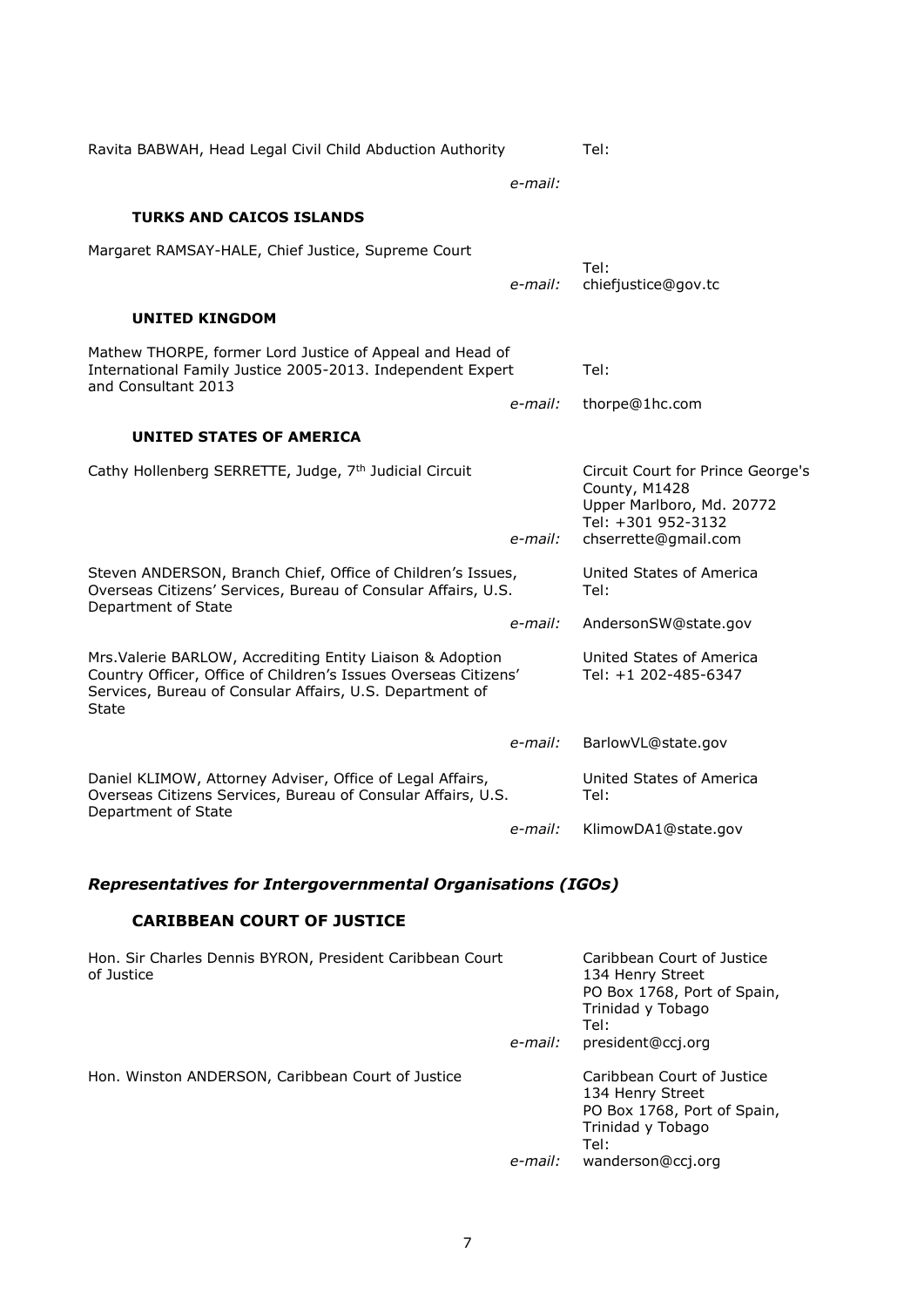| Ravita BABWAH, Head Legal Civil Child Abduction Authority                                                                                                                                                 |         | Tel:                                                                                                                          |  |
|-----------------------------------------------------------------------------------------------------------------------------------------------------------------------------------------------------------|---------|-------------------------------------------------------------------------------------------------------------------------------|--|
|                                                                                                                                                                                                           | e-mail: |                                                                                                                               |  |
| <b>TURKS AND CAICOS ISLANDS</b>                                                                                                                                                                           |         |                                                                                                                               |  |
| Margaret RAMSAY-HALE, Chief Justice, Supreme Court                                                                                                                                                        | e-mail: | Tel:<br>chiefjustice@gov.tc                                                                                                   |  |
| UNITED KINGDOM                                                                                                                                                                                            |         |                                                                                                                               |  |
| Mathew THORPE, former Lord Justice of Appeal and Head of<br>International Family Justice 2005-2013. Independent Expert<br>and Consultant 2013                                                             |         | Tel:                                                                                                                          |  |
|                                                                                                                                                                                                           | e-mail: | thorpe@1hc.com                                                                                                                |  |
| UNITED STATES OF AMERICA                                                                                                                                                                                  |         |                                                                                                                               |  |
| Cathy Hollenberg SERRETTE, Judge, 7th Judicial Circuit                                                                                                                                                    | e-mail: | Circuit Court for Prince George's<br>County, M1428<br>Upper Marlboro, Md. 20772<br>Tel: +301 952-3132<br>chserrette@gmail.com |  |
| Steven ANDERSON, Branch Chief, Office of Children's Issues,<br>Overseas Citizens' Services, Bureau of Consular Affairs, U.S.<br>Department of State<br>e-mail:                                            |         | United States of America<br>Tel:                                                                                              |  |
|                                                                                                                                                                                                           |         | AndersonSW@state.gov                                                                                                          |  |
| Mrs. Valerie BARLOW, Accrediting Entity Liaison & Adoption<br>Country Officer, Office of Children's Issues Overseas Citizens'<br>Services, Bureau of Consular Affairs, U.S. Department of<br><b>State</b> |         | United States of America<br>Tel: +1 202-485-6347                                                                              |  |
|                                                                                                                                                                                                           | e-mail: | BarlowVL@state.gov                                                                                                            |  |
| Daniel KLIMOW, Attorney Adviser, Office of Legal Affairs,<br>Overseas Citizens Services, Bureau of Consular Affairs, U.S.<br>Department of State                                                          |         | United States of America<br>Tel:                                                                                              |  |
|                                                                                                                                                                                                           | e-mail: | KlimowDA1@state.gov                                                                                                           |  |

# *Representatives for Intergovernmental Organisations (IGOs)*

# **CARIBBEAN COURT OF JUSTICE**

| Hon. Sir Charles Dennis BYRON, President Caribbean Court<br>of Justice | e-mail: | Caribbean Court of Justice<br>134 Henry Street<br>PO Box 1768, Port of Spain,<br>Trinidad y Tobago<br>Tel:<br>president@ccj.org |
|------------------------------------------------------------------------|---------|---------------------------------------------------------------------------------------------------------------------------------|
| Hon. Winston ANDERSON, Caribbean Court of Justice                      | e-mail: | Caribbean Court of Justice<br>134 Henry Street<br>PO Box 1768, Port of Spain,<br>Trinidad y Tobago<br>Tel:<br>wanderson@ccj.org |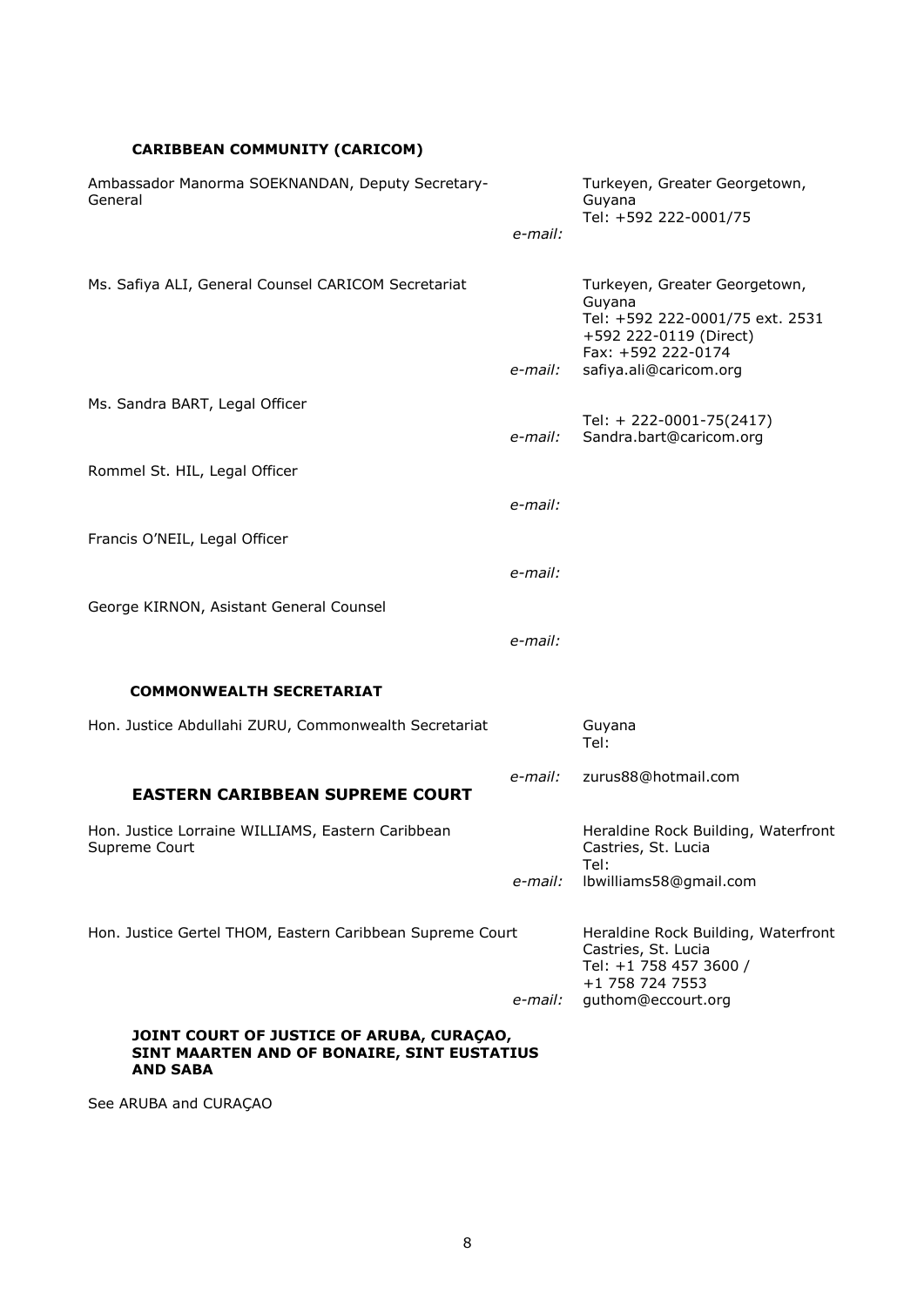# **CARIBBEAN COMMUNITY (CARICOM)**

| Ambassador Manorma SOEKNANDAN, Deputy Secretary-<br>General                                                 |         | Turkeyen, Greater Georgetown,<br>Guyana<br>Tel: +592 222-0001/75                                                           |
|-------------------------------------------------------------------------------------------------------------|---------|----------------------------------------------------------------------------------------------------------------------------|
|                                                                                                             | e-mail: |                                                                                                                            |
| Ms. Safiya ALI, General Counsel CARICOM Secretariat                                                         |         | Turkeyen, Greater Georgetown,<br>Guyana<br>Tel: +592 222-0001/75 ext. 2531<br>+592 222-0119 (Direct)<br>Fax: +592 222-0174 |
|                                                                                                             | e-mail: | safiya.ali@caricom.org                                                                                                     |
| Ms. Sandra BART, Legal Officer                                                                              |         | Tel: + 222-0001-75(2417)                                                                                                   |
|                                                                                                             | e-mail: | Sandra.bart@caricom.org                                                                                                    |
| Rommel St. HIL, Legal Officer                                                                               |         |                                                                                                                            |
|                                                                                                             | e-mail: |                                                                                                                            |
| Francis O'NEIL, Legal Officer                                                                               |         |                                                                                                                            |
|                                                                                                             | e-mail: |                                                                                                                            |
| George KIRNON, Asistant General Counsel                                                                     |         |                                                                                                                            |
|                                                                                                             | e-mail: |                                                                                                                            |
| <b>COMMONWEALTH SECRETARIAT</b>                                                                             |         |                                                                                                                            |
| Hon. Justice Abdullahi ZURU, Commonwealth Secretariat                                                       |         | Guyana<br>Tel:                                                                                                             |
| <b>EASTERN CARIBBEAN SUPREME COURT</b>                                                                      | e-mail: | zurus88@hotmail.com                                                                                                        |
| Hon. Justice Lorraine WILLIAMS, Eastern Caribbean<br>Supreme Court                                          |         | Heraldine Rock Building, Waterfront<br>Castries, St. Lucia<br>Tel:                                                         |
|                                                                                                             | e-mail: | Ibwilliams58@gmail.com                                                                                                     |
| Hon. Justice Gertel THOM, Eastern Caribbean Supreme Court                                                   |         | Heraldine Rock Building, Waterfront<br>Castries, St. Lucia<br>Tel: +1 758 457 3600 /<br>+1 758 724 7553                    |
|                                                                                                             | e-mail: | guthom@eccourt.org                                                                                                         |
| JOINT COURT OF JUSTICE OF ARUBA, CURAÇAO,<br>SINT MAARTEN AND OF BONAIRE, SINT EUSTATIUS<br><b>AND SABA</b> |         |                                                                                                                            |

See ARUBA and CURAÇAO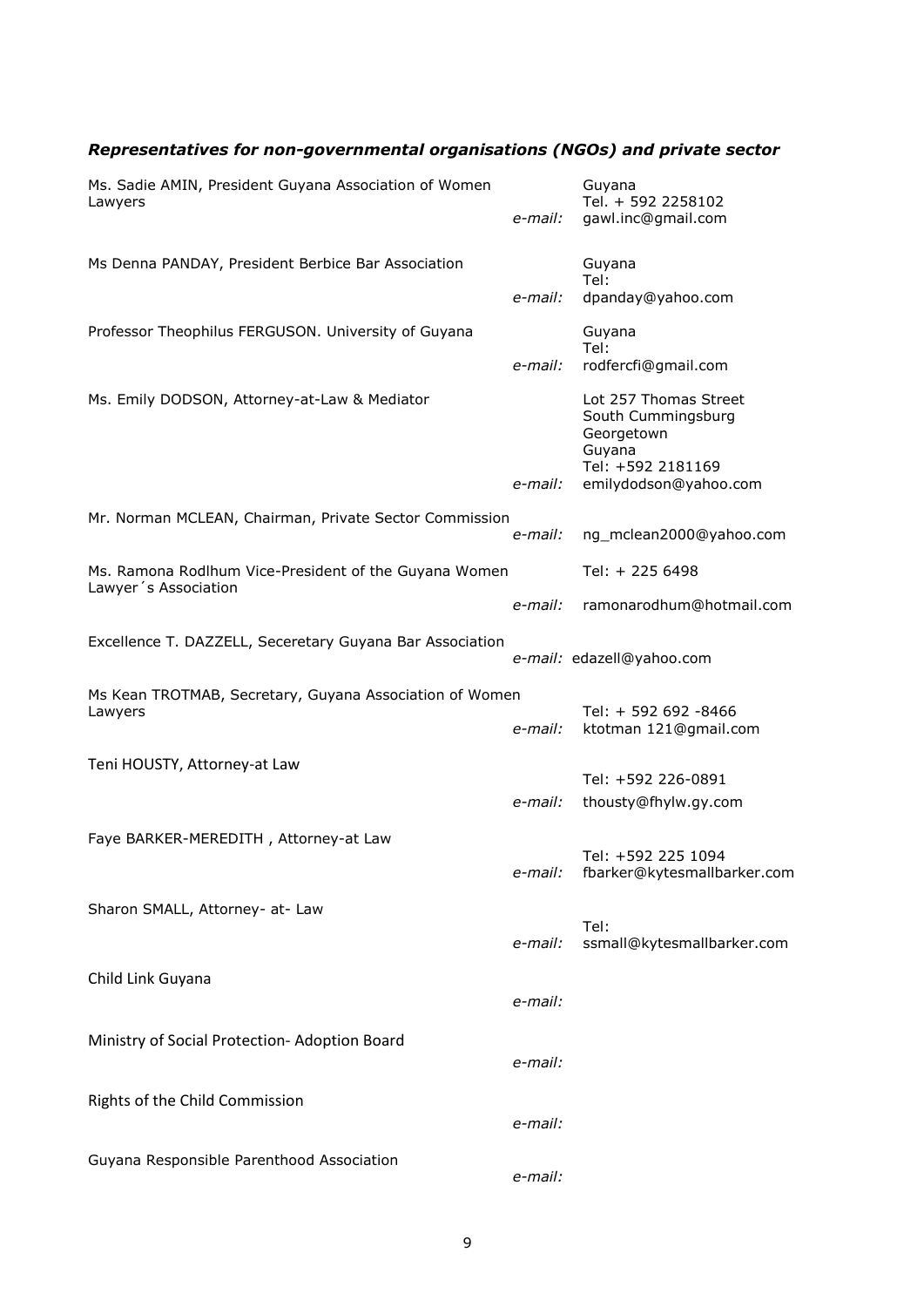# *Representatives for non-governmental organisations (NGOs) and private sector*

| Ms. Sadie AMIN, President Guyana Association of Women<br>Lawyers              | e-mail: | Guyana<br>Tel. + 592 2258102<br>gawl.inc@gmail.com                                                                |
|-------------------------------------------------------------------------------|---------|-------------------------------------------------------------------------------------------------------------------|
| Ms Denna PANDAY, President Berbice Bar Association                            | e-mail: | Guyana<br>Tel:<br>dpanday@yahoo.com                                                                               |
| Professor Theophilus FERGUSON. University of Guyana                           | e-mail: | Guyana<br>Tel:<br>rodfercfi@gmail.com                                                                             |
| Ms. Emily DODSON, Attorney-at-Law & Mediator                                  | e-mail: | Lot 257 Thomas Street<br>South Cummingsburg<br>Georgetown<br>Guyana<br>Tel: +592 2181169<br>emilydodson@yahoo.com |
| Mr. Norman MCLEAN, Chairman, Private Sector Commission                        | e-mail: | ng_mclean2000@yahoo.com                                                                                           |
| Ms. Ramona Rodlhum Vice-President of the Guyana Women<br>Lawyer's Association |         | Tel: + 225 6498                                                                                                   |
|                                                                               | e-mail: | ramonarodhum@hotmail.com                                                                                          |
| Excellence T. DAZZELL, Seceretary Guyana Bar Association                      |         | e-mail: edazell@yahoo.com                                                                                         |
| Ms Kean TROTMAB, Secretary, Guyana Association of Women<br>Lawyers            | e-mail: | Tel: + 592 692 -8466<br>ktotman 121@gmail.com                                                                     |
| Teni HOUSTY, Attorney-at Law                                                  |         | Tel: +592 226-0891                                                                                                |
| Faye BARKER-MEREDITH, Attorney-at Law                                         | e-mail: | thousty@fhylw.gy.com                                                                                              |
|                                                                               | e-mail: | Tel: +592 225 1094<br>fbarker@kytesmallbarker.com                                                                 |
| Sharon SMALL, Attorney- at- Law                                               | e-mail: | Tel:<br>ssmall@kytesmallbarker.com                                                                                |
| Child Link Guyana                                                             |         |                                                                                                                   |
|                                                                               | e-mail: |                                                                                                                   |
| Ministry of Social Protection- Adoption Board                                 | e-mail: |                                                                                                                   |
| Rights of the Child Commission                                                | e-mail: |                                                                                                                   |
| Guyana Responsible Parenthood Association                                     | e-mail: |                                                                                                                   |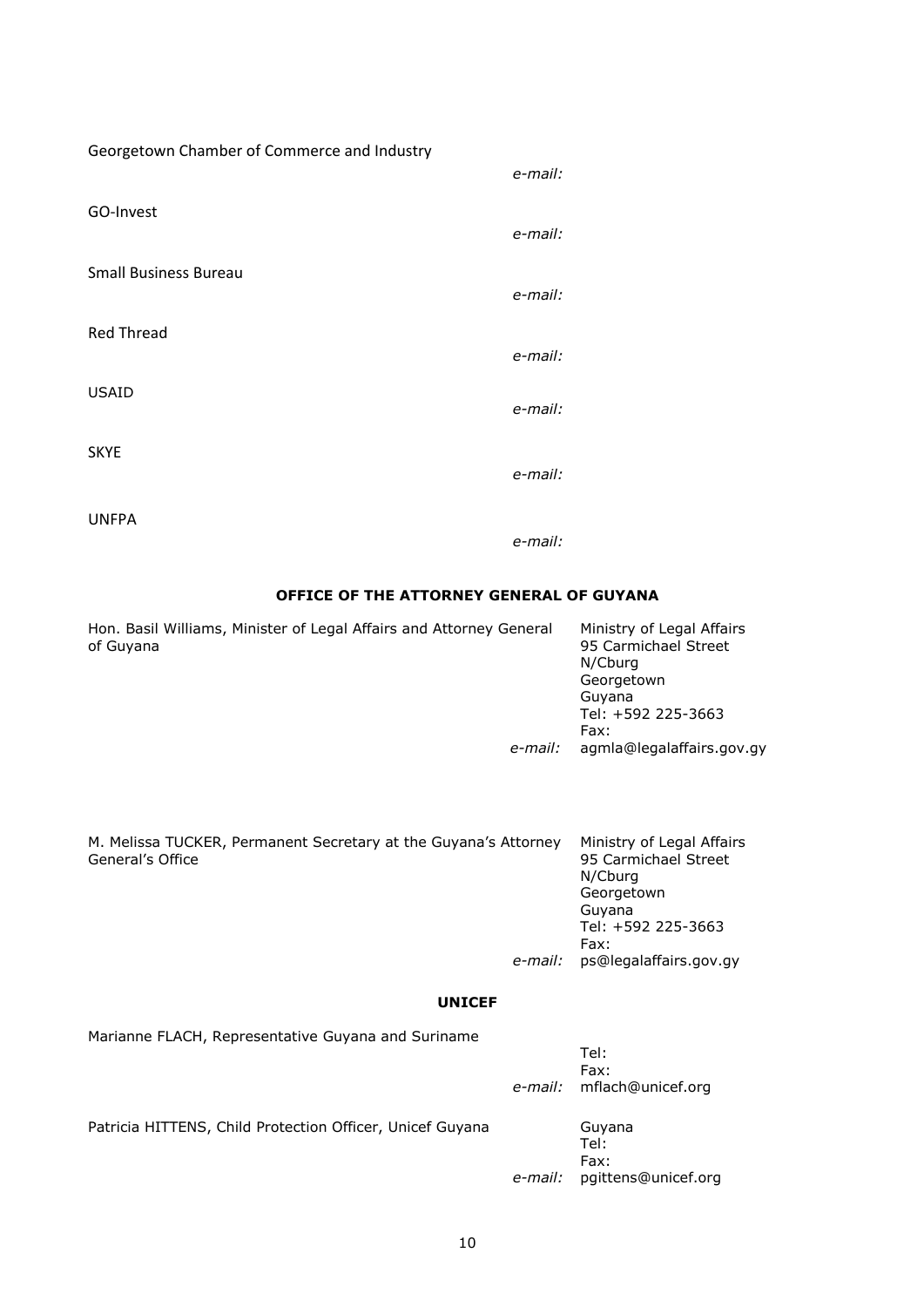| Georgetown Chamber of Commerce and Industry |         |
|---------------------------------------------|---------|
|                                             | e-mail: |
| GO-Invest                                   |         |
|                                             | e-mail: |
| <b>Small Business Bureau</b>                |         |
|                                             | e-mail: |
| <b>Red Thread</b>                           |         |
|                                             | e-mail: |
|                                             |         |
| <b>USAID</b>                                | e-mail: |
|                                             |         |
| <b>SKYE</b>                                 | e-mail: |
|                                             |         |
| <b>UNFPA</b>                                |         |

*e-mail:*

### **OFFICE OF THE ATTORNEY GENERAL OF GUYANA**

| Hon. Basil Williams, Minister of Legal Affairs and Attorney General | Ministry of Legal Affairs<br>95 Carmichael Street<br>N/Cburg |
|---------------------------------------------------------------------|--------------------------------------------------------------|
|                                                                     |                                                              |
|                                                                     | Georgetown                                                   |
|                                                                     | Guvana                                                       |
|                                                                     | Tel: +592 225-3663                                           |
|                                                                     | Fax:                                                         |
| e-mail:                                                             | agmla@legalaffairs.gov.gy                                    |
|                                                                     |                                                              |

| M. Melissa TUCKER, Permanent Secretary at the Guyana's Attorney<br>General's Office | Ministry of Legal Affairs<br>95 Carmichael Street<br>N/Cburg |
|-------------------------------------------------------------------------------------|--------------------------------------------------------------|
|                                                                                     | Georgetown                                                   |
|                                                                                     | Guvana                                                       |
|                                                                                     | Tel: +592 225-3663                                           |
|                                                                                     | Fax:                                                         |
| e-mail:                                                                             | ps@legalaffairs.gov.gy                                       |
|                                                                                     |                                                              |
|                                                                                     |                                                              |

### **UNICEF**

| Marianne FLACH, Representative Guyana and Suriname        |                                           |  |
|-----------------------------------------------------------|-------------------------------------------|--|
|                                                           | Tel:<br>Fax:<br>e-mail: mflach@unicef.org |  |
| Patricia HITTENS, Child Protection Officer, Unicef Guyana | Guyana<br>Tel:<br>Fax:                    |  |

 *e-mail:* pgittens@unicef.org